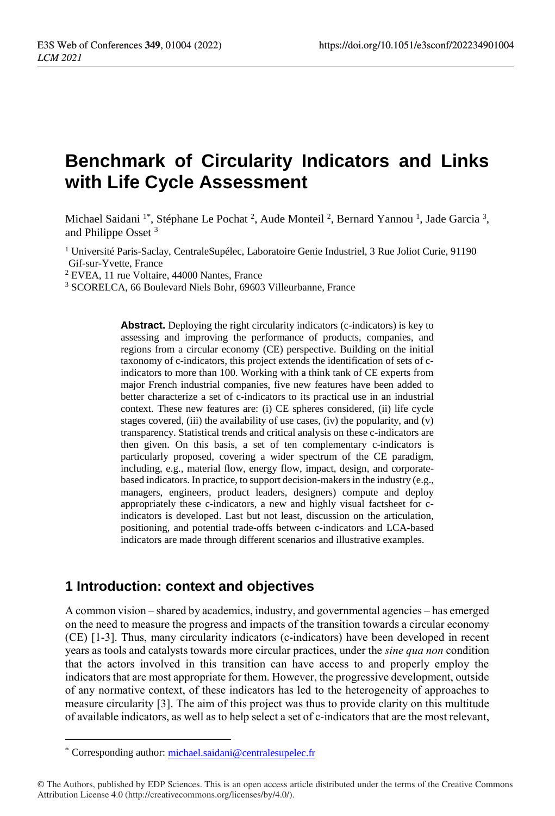# **Benchmark of Circularity Indicators and Links with Life Cycle Assessment**

Michael Saidani<sup>1\*</sup>, Stéphane Le Pochat<sup>2</sup>, Aude Monteil<sup>2</sup>, Bernard Yannou<sup>1</sup>, Jade Garcia<sup>3</sup>, and Philippe Osset <sup>3</sup>

<sup>1</sup> Université Paris-Saclay, CentraleSupélec, Laboratoire Genie Industriel, 3 Rue Joliot Curie, 91190 Gif-sur-Yvette, France

<sup>2</sup> EVEA, 11 rue Voltaire, 44000 Nantes, France

<sup>3</sup> SCORELCA, 66 Boulevard Niels Bohr, 69603 Villeurbanne, France

**Abstract.** Deploying the right circularity indicators (c-indicators) is key to assessing and improving the performance of products, companies, and regions from a circular economy (CE) perspective. Building on the initial taxonomy of c-indicators, this project extends the identification of sets of cindicators to more than 100. Working with a think tank of CE experts from major French industrial companies, five new features have been added to better characterize a set of c-indicators to its practical use in an industrial context. These new features are: (i) CE spheres considered, (ii) life cycle stages covered, (iii) the availability of use cases, (iv) the popularity, and  $(v)$ transparency. Statistical trends and critical analysis on these c-indicators are then given. On this basis, a set of ten complementary c-indicators is particularly proposed, covering a wider spectrum of the CE paradigm, including, e.g., material flow, energy flow, impact, design, and corporatebased indicators. In practice, to support decision-makers in the industry (e.g., managers, engineers, product leaders, designers) compute and deploy appropriately these c-indicators, a new and highly visual factsheet for cindicators is developed. Last but not least, discussion on the articulation, positioning, and potential trade-offs between c-indicators and LCA-based indicators are made through different scenarios and illustrative examples.

# **1 Introduction: context and objectives**

A common vision – shared by academics, industry, and governmental agencies – has emerged on the need to measure the progress and impacts of the transition towards a circular economy (CE) [1-3]. Thus, many circularity indicators (c-indicators) have been developed in recent years as tools and catalysts towards more circular practices, under the *sine qua non* condition that the actors involved in this transition can have access to and properly employ the indicators that are most appropriate for them. However, the progressive development, outside of any normative context, of these indicators has led to the heterogeneity of approaches to measure circularity [3]. The aim of this project was thus to provide clarity on this multitude of available indicators, as well as to help select a set of c-indicators that are the most relevant,

 $\overline{a}$ 

<sup>\*</sup> Corresponding author: michael.saidani@centralesupelec.fr

<sup>©</sup> The Authors, published by EDP Sciences. This is an open access article distributed under the terms of the Creative Commons Attribution License 4.0 (http://creativecommons.org/licenses/by/4.0/).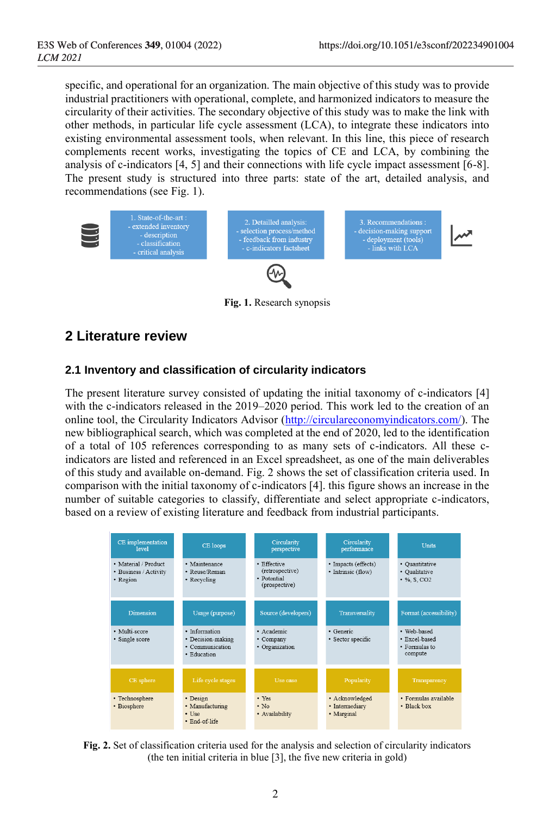specific, and operational for an organization. The main objective of this study was to provide industrial practitioners with operational, complete, and harmonized indicators to measure the circularity of their activities. The secondary objective of this study was to make the link with other methods, in particular life cycle assessment (LCA), to integrate these indicators into existing environmental assessment tools, when relevant. In this line, this piece of research complements recent works, investigating the topics of CE and LCA, by combining the analysis of c-indicators [4, 5] and their connections with life cycle impact assessment [6-8]. The present study is structured into three parts: state of the art, detailed analysis, and recommendations (see Fig. 1).



**Fig. 1.** Research synopsis

# **2 Literature review**

#### **2.1 Inventory and classification of circularity indicators**

The present literature survey consisted of updating the initial taxonomy of c-indicators [4] with the c-indicators released in the 2019–2020 period. This work led to the creation of an online tool, the Circularity Indicators Advisor [\(http://circulareconomyindicators.com/\)](http://circulareconomyindicators.com/). The new bibliographical search, which was completed at the end of 2020, led to the identification of a total of 105 references corresponding to as many sets of c-indicators. All these cindicators are listed and referenced in an Excel spreadsheet, as one of the main deliverables of this study and available on-demand. Fig. 2 shows the set of classification criteria used. In comparison with the initial taxonomy of c-indicators [4]. this figure shows an increase in the number of suitable categories to classify, differentiate and select appropriate c-indicators, based on a review of existing literature and feedback from industrial participants.



**Fig. 2.** Set of classification criteria used for the analysis and selection of circularity indicators (the ten initial criteria in blue [3], the five new criteria in gold)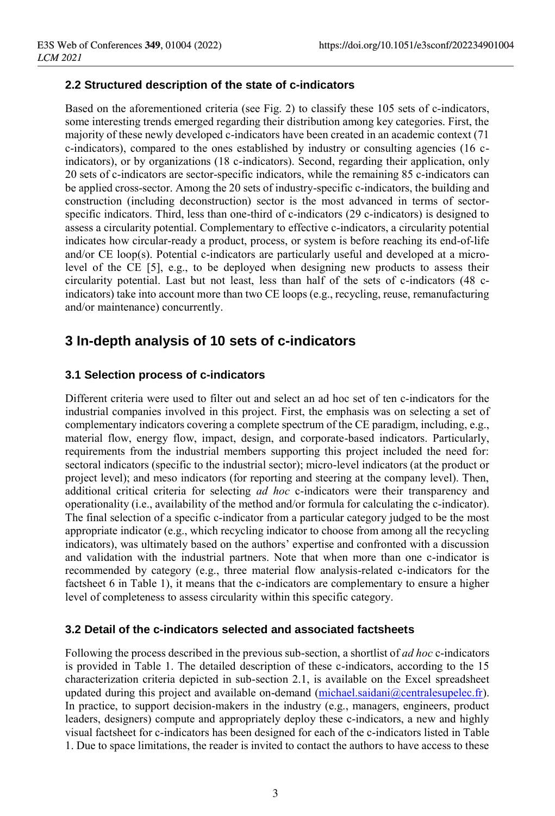#### **2.2 Structured description of the state of c-indicators**

Based on the aforementioned criteria (see Fig. 2) to classify these 105 sets of c-indicators, some interesting trends emerged regarding their distribution among key categories. First, the majority of these newly developed c-indicators have been created in an academic context (71 c-indicators), compared to the ones established by industry or consulting agencies (16 cindicators), or by organizations (18 c-indicators). Second, regarding their application, only 20 sets of c-indicators are sector-specific indicators, while the remaining 85 c-indicators can be applied cross-sector. Among the 20 sets of industry-specific c-indicators, the building and construction (including deconstruction) sector is the most advanced in terms of sectorspecific indicators. Third, less than one-third of c-indicators (29 c-indicators) is designed to assess a circularity potential. Complementary to effective c-indicators, a circularity potential indicates how circular-ready a product, process, or system is before reaching its end-of-life and/or CE loop(s). Potential c-indicators are particularly useful and developed at a microlevel of the CE [5], e.g., to be deployed when designing new products to assess their circularity potential. Last but not least, less than half of the sets of c-indicators (48 cindicators) take into account more than two CE loops (e.g., recycling, reuse, remanufacturing and/or maintenance) concurrently.

# **3 In-depth analysis of 10 sets of c-indicators**

#### **3.1 Selection process of c-indicators**

Different criteria were used to filter out and select an ad hoc set of ten c-indicators for the industrial companies involved in this project. First, the emphasis was on selecting a set of complementary indicators covering a complete spectrum of the CE paradigm, including, e.g., material flow, energy flow, impact, design, and corporate-based indicators. Particularly, requirements from the industrial members supporting this project included the need for: sectoral indicators (specific to the industrial sector); micro-level indicators (at the product or project level); and meso indicators (for reporting and steering at the company level). Then, additional critical criteria for selecting *ad hoc* c-indicators were their transparency and operationality (i.e., availability of the method and/or formula for calculating the c-indicator). The final selection of a specific c-indicator from a particular category judged to be the most appropriate indicator (e.g., which recycling indicator to choose from among all the recycling indicators), was ultimately based on the authors' expertise and confronted with a discussion and validation with the industrial partners. Note that when more than one c-indicator is recommended by category (e.g., three material flow analysis-related c-indicators for the factsheet 6 in Table 1), it means that the c-indicators are complementary to ensure a higher level of completeness to assess circularity within this specific category.

#### **3.2 Detail of the c-indicators selected and associated factsheets**

Following the process described in the previous sub-section, a shortlist of *ad hoc* c-indicators is provided in Table 1. The detailed description of these c-indicators, according to the 15 characterization criteria depicted in sub-section 2.1, is available on the Excel spreadsheet updated during this project and available on-demand [\(michael.saidani@centralesupelec.fr\)](mailto:michael.saidani@centralesupelec.fr). In practice, to support decision-makers in the industry (e.g., managers, engineers, product leaders, designers) compute and appropriately deploy these c-indicators, a new and highly visual factsheet for c-indicators has been designed for each of the c-indicators listed in Table 1. Due to space limitations, the reader is invited to contact the authors to have access to these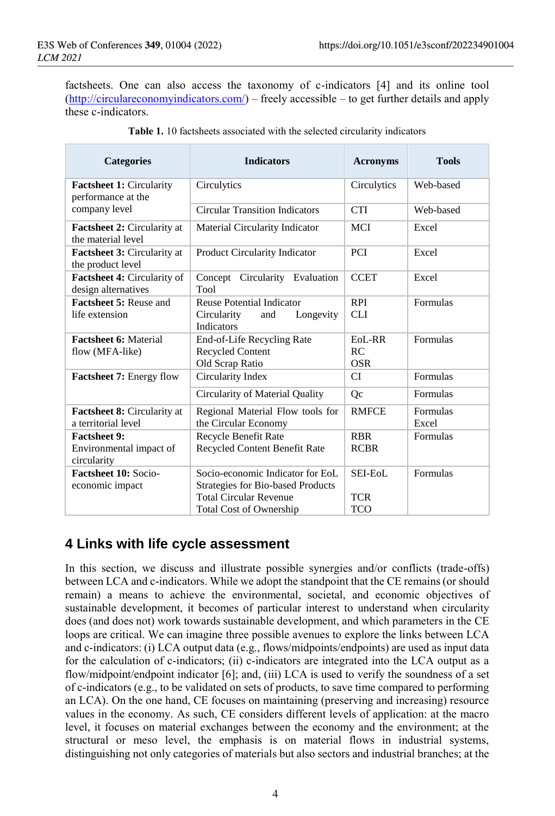factsheets. One can also access the taxonomy of c-indicators [4] and its online tool [\(http://circulareconomyindicators.com/\)](http://circulareconomyindicators.com/) – freely accessible – to get further details and apply these c-indicators.

| <b>Categories</b>                                             | <b>Indicators</b>                                                                                                                               | <b>Acronyms</b>                          | <b>Tools</b>      |
|---------------------------------------------------------------|-------------------------------------------------------------------------------------------------------------------------------------------------|------------------------------------------|-------------------|
| <b>Factsheet 1: Circularity</b><br>performance at the         | Circulytics                                                                                                                                     | Circulytics                              | Web-based         |
| company level                                                 | <b>Circular Transition Indicators</b>                                                                                                           | <b>CTI</b>                               | Web-based         |
| Factsheet 2: Circularity at<br>the material level             | Material Circularity Indicator                                                                                                                  | <b>MCI</b>                               | Excel             |
| <b>Factsheet 3: Circularity at</b><br>the product level       | <b>Product Circularity Indicator</b>                                                                                                            | <b>PCI</b>                               | Excel             |
| <b>Factsheet 4: Circularity of</b><br>design alternatives     | Circularity Evaluation<br>Concept<br>Tool                                                                                                       | <b>CCET</b>                              | Excel             |
| <b>Factsheet 5: Reuse and</b><br>life extension               | <b>Reuse Potential Indicator</b><br>Longevity<br>Circularity<br>and<br>Indicators                                                               | <b>RPI</b><br><b>CLI</b>                 | Formulas          |
| <b>Factsheet 6: Material</b><br>flow (MFA-like)               | End-of-Life Recycling Rate<br><b>Recycled Content</b><br>Old Scrap Ratio                                                                        | $EoI$ <sub>-RR</sub><br>RC<br><b>OSR</b> | Formulas          |
| <b>Factsheet 7: Energy flow</b>                               | Circularity Index                                                                                                                               | CI                                       | Formulas          |
|                                                               | Circularity of Material Quality                                                                                                                 | Qc                                       | Formulas          |
| <b>Factsheet 8:</b> Circularity at<br>a territorial level     | Regional Material Flow tools for<br>the Circular Economy                                                                                        | <b>RMFCE</b>                             | Formulas<br>Excel |
| <b>Factsheet 9:</b><br>Environmental impact of<br>circularity | Recycle Benefit Rate<br>Recycled Content Benefit Rate                                                                                           | <b>RBR</b><br><b>RCBR</b>                | Formulas          |
| Factsheet 10: Socio-<br>economic impact                       | Socio-economic Indicator for EoL<br><b>Strategies for Bio-based Products</b><br><b>Total Circular Revenue</b><br><b>Total Cost of Ownership</b> | SEI-EoL<br><b>TCR</b><br>TCO             | Formulas          |
|                                                               |                                                                                                                                                 |                                          |                   |

| <b>Table 1.</b> 10 factsheets associated with the selected circularity indicators |  |  |  |  |  |  |
|-----------------------------------------------------------------------------------|--|--|--|--|--|--|
|-----------------------------------------------------------------------------------|--|--|--|--|--|--|

# **4 Links with life cycle assessment**

In this section, we discuss and illustrate possible synergies and/or conflicts (trade-offs) between LCA and c-indicators. While we adopt the standpoint that the CE remains (or should remain) a means to achieve the environmental, societal, and economic objectives of sustainable development, it becomes of particular interest to understand when circularity does (and does not) work towards sustainable development, and which parameters in the CE loops are critical. We can imagine three possible avenues to explore the links between LCA and c-indicators: (i) LCA output data (e.g., flows/midpoints/endpoints) are used as input data for the calculation of c-indicators; (ii) c-indicators are integrated into the LCA output as a flow/midpoint/endpoint indicator [6]; and, (iii) LCA is used to verify the soundness of a set of c-indicators (e.g., to be validated on sets of products, to save time compared to performing an LCA). On the one hand, CE focuses on maintaining (preserving and increasing) resource values in the economy. As such, CE considers different levels of application: at the macro level, it focuses on material exchanges between the economy and the environment; at the structural or meso level, the emphasis is on material flows in industrial systems, distinguishing not only categories of materials but also sectors and industrial branches; at the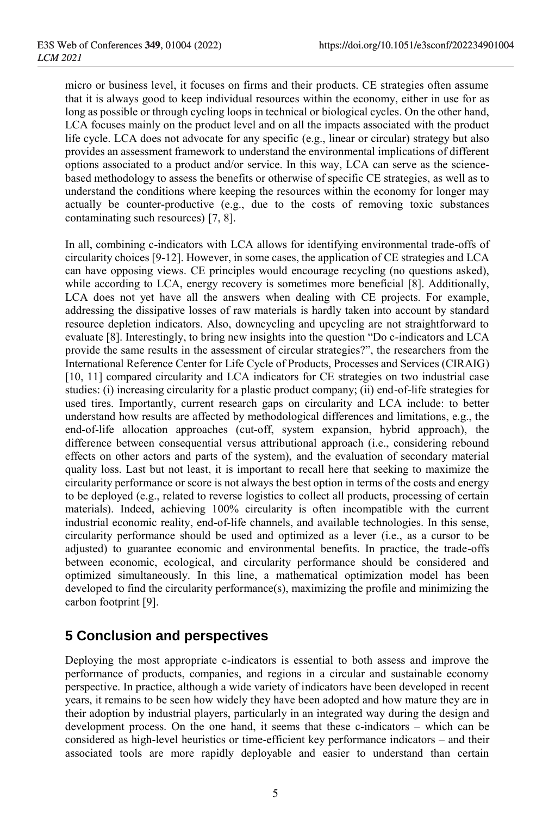micro or business level, it focuses on firms and their products. CE strategies often assume that it is always good to keep individual resources within the economy, either in use for as long as possible or through cycling loops in technical or biological cycles. On the other hand, LCA focuses mainly on the product level and on all the impacts associated with the product life cycle. LCA does not advocate for any specific (e.g., linear or circular) strategy but also provides an assessment framework to understand the environmental implications of different options associated to a product and/or service. In this way, LCA can serve as the sciencebased methodology to assess the benefits or otherwise of specific CE strategies, as well as to understand the conditions where keeping the resources within the economy for longer may actually be counter-productive (e.g., due to the costs of removing toxic substances contaminating such resources) [7, 8].

In all, combining c-indicators with LCA allows for identifying environmental trade-offs of circularity choices [9-12]. However, in some cases, the application of CE strategies and LCA can have opposing views. CE principles would encourage recycling (no questions asked), while according to LCA, energy recovery is sometimes more beneficial [8]. Additionally, LCA does not yet have all the answers when dealing with CE projects. For example, addressing the dissipative losses of raw materials is hardly taken into account by standard resource depletion indicators. Also, downcycling and upcycling are not straightforward to evaluate [8]. Interestingly, to bring new insights into the question "Do c-indicators and LCA provide the same results in the assessment of circular strategies?", the researchers from the International Reference Center for Life Cycle of Products, Processes and Services (CIRAIG) [10, 11] compared circularity and LCA indicators for CE strategies on two industrial case studies: (i) increasing circularity for a plastic product company; (ii) end-of-life strategies for used tires. Importantly, current research gaps on circularity and LCA include: to better understand how results are affected by methodological differences and limitations, e.g., the end-of-life allocation approaches (cut-off, system expansion, hybrid approach), the difference between consequential versus attributional approach (i.e., considering rebound effects on other actors and parts of the system), and the evaluation of secondary material quality loss. Last but not least, it is important to recall here that seeking to maximize the circularity performance or score is not always the best option in terms of the costs and energy to be deployed (e.g., related to reverse logistics to collect all products, processing of certain materials). Indeed, achieving 100% circularity is often incompatible with the current industrial economic reality, end-of-life channels, and available technologies. In this sense, circularity performance should be used and optimized as a lever (i.e., as a cursor to be adjusted) to guarantee economic and environmental benefits. In practice, the trade-offs between economic, ecological, and circularity performance should be considered and optimized simultaneously. In this line, a mathematical optimization model has been developed to find the circularity performance(s), maximizing the profile and minimizing the carbon footprint [9].

# **5 Conclusion and perspectives**

Deploying the most appropriate c-indicators is essential to both assess and improve the performance of products, companies, and regions in a circular and sustainable economy perspective. In practice, although a wide variety of indicators have been developed in recent years, it remains to be seen how widely they have been adopted and how mature they are in their adoption by industrial players, particularly in an integrated way during the design and development process. On the one hand, it seems that these c-indicators – which can be considered as high-level heuristics or time-efficient key performance indicators – and their associated tools are more rapidly deployable and easier to understand than certain